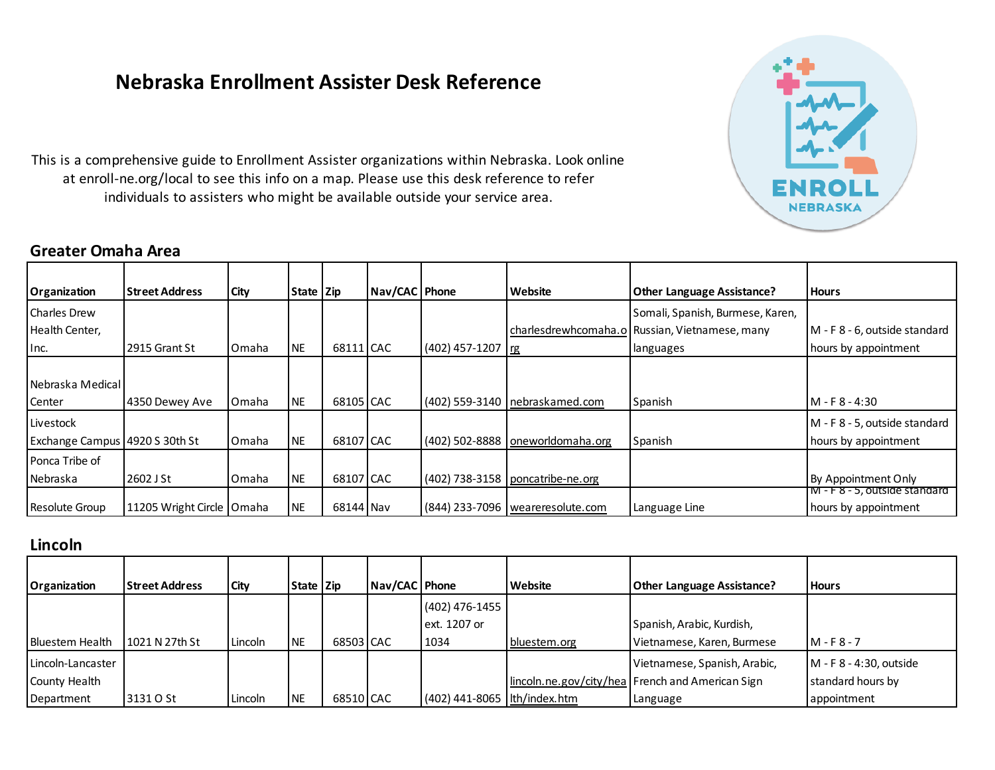# **Nebraska Enrollment Assister Desk Reference**

This is a comprehensive guide to Enrollment Assister organizations within Nebraska. Look online at enroll-ne.org/local to see this info on a map. Please use this desk reference to refer individuals to assisters who might be available outside your service area.

#### **Greater Omaha Area**



| Organization                   | <b>Street Address</b>       | City  | State Zip |           | Nav/CAC   Phone |                   | Website                            | <b>Other Language Assistance?</b>              | <b>Hours</b>                  |
|--------------------------------|-----------------------------|-------|-----------|-----------|-----------------|-------------------|------------------------------------|------------------------------------------------|-------------------------------|
| Charles Drew                   |                             |       |           |           |                 |                   |                                    | Somali, Spanish, Burmese, Karen,               |                               |
| Health Center,                 |                             |       |           |           |                 |                   |                                    | charlesdrewhcomaha.o Russian, Vietnamese, many | M - F 8 - 6, outside standard |
| Inc.                           | 2915 Grant St               | Omaha | NE        | 68111 CAC |                 | (402) 457-1207 rg |                                    | languages                                      | hours by appointment          |
|                                |                             |       |           |           |                 |                   |                                    |                                                |                               |
| Nebraska Medical               |                             |       |           |           |                 |                   |                                    |                                                |                               |
| Center                         | 4350 Dewey Ave              | Omaha | <b>NE</b> | 68105 CAC |                 |                   | (402) 559-3140   nebraskamed.com   | Spanish                                        | M - F 8 - 4:30                |
| Livestock                      |                             |       |           |           |                 |                   |                                    |                                                | M - F 8 - 5, outside standard |
| Exchange Campus 4920 S 30th St |                             | Omaha | NE        | 68107 CAC |                 |                   | (402) 502-8888   oneworldomaha.org | Spanish                                        | hours by appointment          |
| Ponca Tribe of                 |                             |       |           |           |                 |                   |                                    |                                                |                               |
| Nebraska                       | 2602 J St                   | Omaha | <b>NE</b> | 68107 CAC |                 |                   | (402) 738-3158   poncatribe-ne.org |                                                | By Appointment Only           |
|                                |                             |       |           |           |                 |                   |                                    |                                                | M-F8-5, outside standard      |
| <b>Resolute Group</b>          | 11205 Wright Circle   Omaha |       | <b>NE</b> | 68144 Nav |                 |                   | (844) 233-7096   weareresolute.com | Language Line                                  | hours by appointment          |

#### **Lincoln**

| Organization                                     | l Street Address | <b>City</b> | State Zip |           | Nav/CAC   Phone |                                          | Website      | <b>Other Language Assistance?</b>                                                            | <b>Hours</b>                                                  |
|--------------------------------------------------|------------------|-------------|-----------|-----------|-----------------|------------------------------------------|--------------|----------------------------------------------------------------------------------------------|---------------------------------------------------------------|
| <b>Bluestem Health</b>                           | 1021 N 27th St   | Lincoln     | <b>NE</b> | 68503 CAC |                 | $(402)$ 476-1455<br>ext. 1207 or<br>1034 | bluestem.org | Spanish, Arabic, Kurdish,<br>Vietnamese, Karen, Burmese                                      | $M - F8 - 7$                                                  |
| Lincoln-Lancaster<br>County Health<br>Department | 3131 O St        | Lincoln     | <b>NE</b> | 68510 CAC |                 | (402) 441-8065   lth/index.htm           |              | Vietnamese, Spanish, Arabic,<br>lincoln.ne.gov/city/hea French and American Sign<br>Language | $M - F8 - 4:30$ , outside<br>standard hours by<br>appointment |